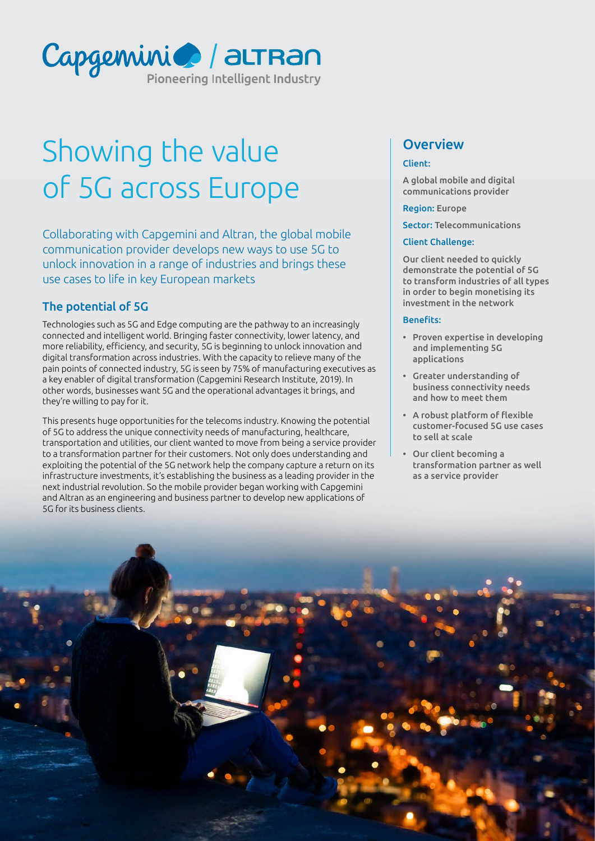

# Showing the value of 5G across Europe

Collaborating with Capgemini and Altran, the global mobile communication provider develops new ways to use 5G to unlock innovation in a range of industries and brings these use cases to life in key European markets

# The potential of 5G

Technologies such as 5G and Edge computing are the pathway to an increasingly connected and intelligent world. Bringing faster connectivity, lower latency, and more reliability, efficiency, and security, 5G is beginning to unlock innovation and digital transformation across industries. With the capacity to relieve many of the pain points of connected industry, 5G is seen by 75% of manufacturing executives as a key enabler of digital transformation (Capgemini Research Institute, 2019). In other words, businesses want 5G and the operational advantages it brings, and they're willing to pay for it.

This presents huge opportunities for the telecoms industry. Knowing the potential of 5G to address the unique connectivity needs of manufacturing, healthcare, transportation and utilities, our client wanted to move from being a service provider to a transformation partner for their customers. Not only does understanding and exploiting the potential of the 5G network help the company capture a return on its infrastructure investments, it's establishing the business as a leading provider in the next industrial revolution. So the mobile provider began working with Capgemini and Altran as an engineering and business partner to develop new applications of 5G for its business clients.

# **Overview**

#### Client:

A global mobile and digital communications provider

Region: Europe

Sector: Telecommunications

#### Client Challenge:

Our client needed to quickly demonstrate the potential of 5G to transform industries of all types in order to begin monetising its investment in the network

#### Benefits:

- Proven expertise in developing and implementing 5G applications
- Greater understanding of business connectivity needs and how to meet them
- A robust platform of flexible customer-focused 5G use cases to sell at scale
- Our client becoming a transformation partner as well as a service provider

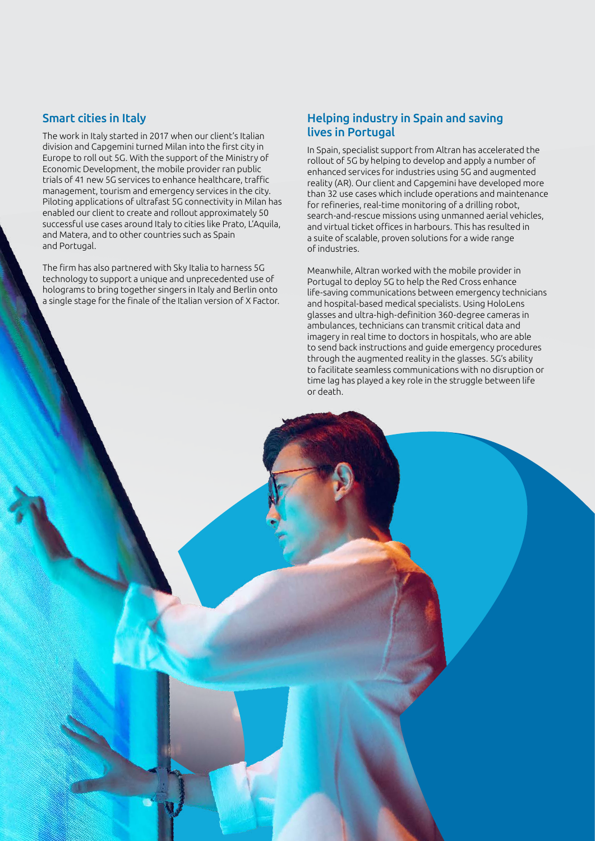#### Smart cities in Italy

The work in Italy started in 2017 when our client's Italian division and Capgemini turned Milan into the first city in Europe to roll out 5G. With the support of the Ministry of Economic Development, the mobile provider ran public trials of 41 new 5G services to enhance healthcare, traffic management, tourism and emergency services in the city. Piloting applications of ultrafast 5G connectivity in Milan has enabled our client to create and rollout approximately 50 successful use cases around Italy to cities like Prato, L'Aquila, and Matera, and to other countries such as Spain and Portugal.

The firm has also partnered with Sky Italia to harness 5G technology to support a unique and unprecedented use of holograms to bring together singers in Italy and Berlin onto a single stage for the finale of the Italian version of X Factor.

#### Helping industry in Spain and saving lives in Portugal

In Spain, specialist support from Altran has accelerated the rollout of 5G by helping to develop and apply a number of enhanced services for industries using 5G and augmented reality (AR). Our client and Capgemini have developed more than 32 use cases which include operations and maintenance for refineries, real-time monitoring of a drilling robot, search-and-rescue missions using unmanned aerial vehicles, and virtual ticket offices in harbours. This has resulted in a suite of scalable, proven solutions for a wide range of industries.

Meanwhile, Altran worked with the mobile provider in Portugal to deploy 5G to help the Red Cross enhance life-saving communications between emergency technicians and hospital-based medical specialists. Using HoloLens glasses and ultra-high-definition 360-degree cameras in ambulances, technicians can transmit critical data and imagery in real time to doctors in hospitals, who are able to send back instructions and guide emergency procedures through the augmented reality in the glasses. 5G's ability to facilitate seamless communications with no disruption or time lag has played a key role in the struggle between life or death.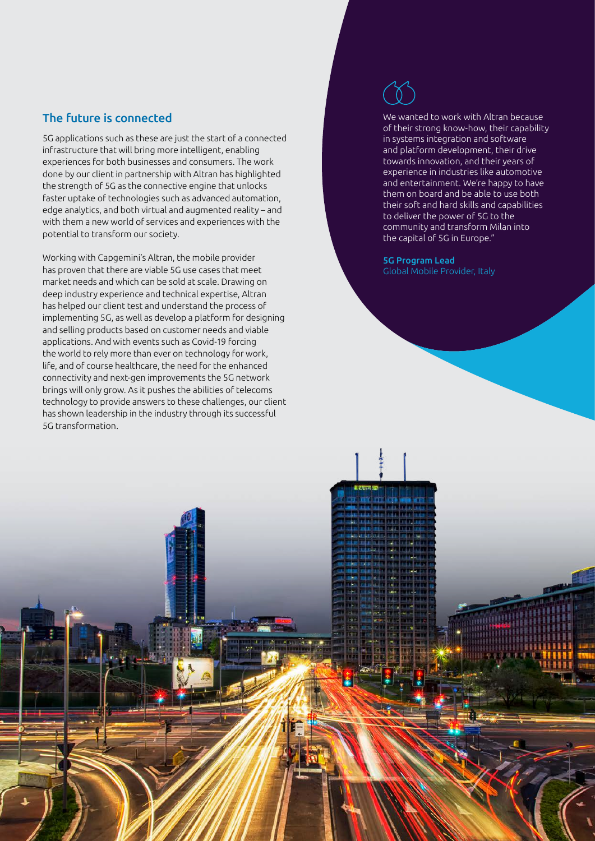## The future is connected

5G applications such as these are just the start of a connected infrastructure that will bring more intelligent, enabling experiences for both businesses and consumers. The work done by our client in partnership with Altran has highlighted the strength of 5G as the connective engine that unlocks faster uptake of technologies such as advanced automation, edge analytics, and both virtual and augmented reality – and with them a new world of services and experiences with the potential to transform our society.

Working with Capgemini's Altran, the mobile provider has proven that there are viable 5G use cases that meet market needs and which can be sold at scale. Drawing on deep industry experience and technical expertise, Altran has helped our client test and understand the process of implementing 5G, as well as develop a platform for designing and selling products based on customer needs and viable applications. And with events such as Covid-19 forcing the world to rely more than ever on technology for work, life, and of course healthcare, the need for the enhanced connectivity and next-gen improvements the 5G network brings will only grow. As it pushes the abilities of telecoms technology to provide answers to these challenges, our client has shown leadership in the industry through its successful 5G transformation.

We wanted to work with Altran because of their strong know-how, their capability in systems integration and software and platform development, their drive towards innovation, and their years of experience in industries like automotive and entertainment. We're happy to have them on board and be able to use both their soft and hard skills and capabilities to deliver the power of 5G to the community and transform Milan into the capital of 5G in Europe."

5G Program Lead Global Mobile Provider, Italy